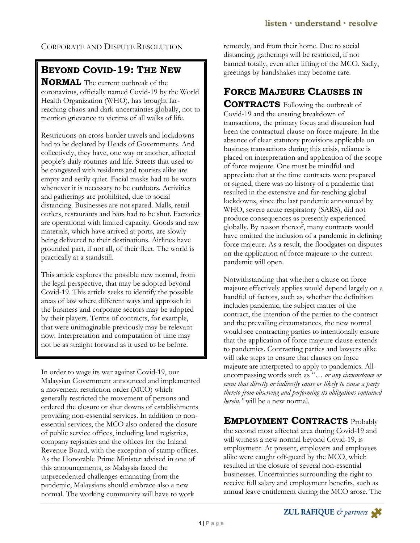CORPORATE AND DISPUTE RESOLUTION

## **BEYOND COVID-19: THE NEW**

**NORMAL** The current outbreak of the coronavirus, officially named Covid-19 by the World Health Organization (WHO), has brought farreaching chaos and dark uncertainties globally, not to mention grievance to victims of all walks of life.

Restrictions on cross border travels and lockdowns had to be declared by Heads of Governments. And collectively, they have, one way or another, affected people's daily routines and life. Streets that used to be congested with residents and tourists alike are empty and eerily quiet. Facial masks had to be worn whenever it is necessary to be outdoors. Activities and gatherings are prohibited, due to social distancing. Businesses are not spared. Malls, retail outlets, restaurants and bars had to be shut. Factories are operational with limited capacity. Goods and raw materials, which have arrived at ports, are slowly being delivered to their destinations. Airlines have grounded part, if not all, of their fleet. The world is practically at a standstill.

This article explores the possible new normal, from the legal perspective, that may be adopted beyond Covid-19. This article seeks to identify the possible areas of law where different ways and approach in the business and corporate sectors may be adopted by their players. Terms of contracts, for example, that were unimaginable previously may be relevant now. Interpretation and computation of time may not be as straight forward as it used to be before.

In order to wage its war against Covid-19, our Malaysian Government announced and implemented a movement restriction order (MCO) which generally restricted the movement of persons and ordered the closure or shut downs of establishments providing non-essential services. In addition to nonessential services, the MCO also ordered the closure of public service offices, including land registries, company registries and the offices for the Inland Revenue Board, with the exception of stamp offices. As the Honorable Prime Minister advised in one of this announcements, as Malaysia faced the unprecedented challenges emanating from the pandemic, Malaysians should embrace also a new normal. The working community will have to work

remotely, and from their home. Due to social distancing, gatherings will be restricted, if not banned totally, even after lifting of the MCO. Sadly, greetings by handshakes may become rare.

# **FORCE MAJEURE CLAUSES IN**

**CONTRACTS** Following the outbreak of Covid-19 and the ensuing breakdown of transactions, the primary focus and discussion had been the contractual clause on force majeure. In the absence of clear statutory provisions applicable on business transactions during this crisis, reliance is placed on interpretation and application of the scope of force majeure. One must be mindful and appreciate that at the time contracts were prepared or signed, there was no history of a pandemic that resulted in the extensive and far-reaching global lockdowns, since the last pandemic announced by WHO, severe acute respiratory (SARS), did not produce consequences as presently experienced globally. By reason thereof, many contracts would have omitted the inclusion of a pandemic in defining force majeure. As a result, the floodgates on disputes on the application of force majeure to the current pandemic will open.

Notwithstanding that whether a clause on force majeure effectively applies would depend largely on a handful of factors, such as, whether the definition includes pandemic, the subject matter of the contract, the intention of the parties to the contract and the prevailing circumstances, the new normal would see contracting parties to intentionally ensure that the application of force majeure clause extends to pandemics. Contracting parties and lawyers alike will take steps to ensure that clauses on force majeure are interpreted to apply to pandemics. Allencompassing words such as "… *or any circumstance or event that directly or indirectly cause or likely to cause a party thereto from observing and performing its obligations contained herein."* will be a new normal.

### **EMPLOYMENT CONTRACTS** Probably

the second most affected area during Covid-19 and will witness a new normal beyond Covid-19, is employment. At present, employers and employees alike were caught off-guard by the MCO, which resulted in the closure of several non-essential businesses. Uncertainties surrounding the right to receive full salary and employment benefits, such as annual leave entitlement during the MCO arose. The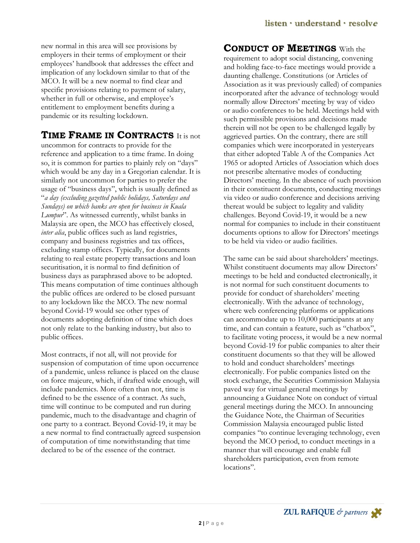new normal in this area will see provisions by employers in their terms of employment or their employees' handbook that addresses the effect and implication of any lockdown similar to that of the MCO. It will be a new normal to find clear and specific provisions relating to payment of salary, whether in full or otherwise, and employee's entitlement to employment benefits during a pandemic or its resulting lockdown.

## **TIME FRAME IN CONTRACTS** It is not

uncommon for contracts to provide for the reference and application to a time frame. In doing so, it is common for parties to plainly rely on "days" which would be any day in a Gregorian calendar. It is similarly not uncommon for parties to prefer the usage of "business days", which is usually defined as "*a day (excluding gazetted public holidays, Saturdays and Sundays) on which banks are open for business in Kuala Lumpur*". As witnessed currently, whilst banks in Malaysia are open, the MCO has effectively closed, *inter alia*, public offices such as land registries, company and business registries and tax offices, excluding stamp offices. Typically, for documents relating to real estate property transactions and loan securitisation, it is normal to find definition of business days as paraphrased above to be adopted. This means computation of time continues although the public offices are ordered to be closed pursuant to any lockdown like the MCO. The new normal beyond Covid-19 would see other types of documents adopting definition of time which does not only relate to the banking industry, but also to public offices.

Most contracts, if not all, will not provide for suspension of computation of time upon occurrence of a pandemic, unless reliance is placed on the clause on force majeure, which, if drafted wide enough, will include pandemics. More often than not, time is defined to be the essence of a contract. As such, time will continue to be computed and run during pandemic, much to the disadvantage and chagrin of one party to a contract. Beyond Covid-19, it may be a new normal to find contractually agreed suspension of computation of time notwithstanding that time declared to be of the essence of the contract.

#### **CONDUCT OF MEETINGS** With the

requirement to adopt social distancing, convening and holding face-to-face meetings would provide a daunting challenge. Constitutions (or Articles of Association as it was previously called) of companies incorporated after the advance of technology would normally allow Directors' meeting by way of video or audio conferences to be held. Meetings held with such permissible provisions and decisions made therein will not be open to be challenged legally by aggrieved parties. On the contrary, there are still companies which were incorporated in yesteryears that either adopted Table A of the Companies Act 1965 or adopted Articles of Association which does not prescribe alternative modes of conducting Directors' meeting. In the absence of such provision in their constituent documents, conducting meetings via video or audio conference and decisions arriving thereat would be subject to legality and validity challenges. Beyond Covid-19, it would be a new normal for companies to include in their constituent documents options to allow for Directors' meetings to be held via video or audio facilities.

The same can be said about shareholders' meetings. Whilst constituent documents may allow Directors' meetings to be held and conducted electronically, it is not normal for such constituent documents to provide for conduct of shareholders' meeting electronically. With the advance of technology, where web conferencing platforms or applications can accommodate up to 10,000 participants at any time, and can contain a feature, such as "chatbox", to facilitate voting process, it would be a new normal beyond Covid-19 for public companies to alter their constituent documents so that they will be allowed to hold and conduct shareholders' meetings electronically. For public companies listed on the stock exchange, the Securities Commission Malaysia paved way for virtual general meetings by announcing a Guidance Note on conduct of virtual general meetings during the MCO. In announcing the Guidance Note, the Chairman of Securities Commission Malaysia encouraged public listed companies "to continue leveraging technology, even beyond the MCO period, to conduct meetings in a manner that will encourage and enable full shareholders participation, even from remote locations".